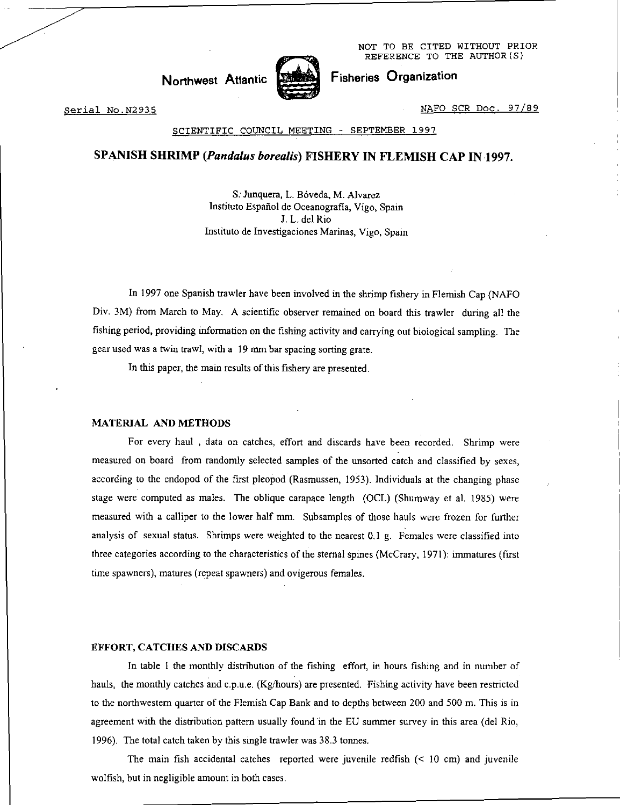NOT TO BE CITED WITHOUT PRIOR REFERENCE TO THE AUTHOR(S)

Fisheries Organization

**Northwest** Atlantic



Serial No.N2935 NAFO SCR Doc. 97/89

## SCIENTIFIC COUNCIL MEETING - SEPTEMBER 1997

## SPANISH SHRIMP *(Pandalus borealis)* FISHERY IN FLEMISH CAP IN 1997.

S. Junquera, L. Bóveda, M. Alvarez Instituto Espaffol de Oceanografia, Vigo, Spain J. L. del Rio Instituto de Investigaciones Marinas, Vigo, Spain

In 1997 one Spanish trawler have been involved in the shrimp fishery in Flemish Cap (NAFO Div. 3M) from March to May. A scientific observer remained on board this trawler during all the fishing period, providing information on the fishing activity and carrying out biological sampling. The gear used was a twin trawl, with a 19 mm bar spacing sorting grate.

In this paper, the main results of this fishery are presented.

### MATERIAL AND METHODS

For every haul , data on catches, effort and discards have been recorded. Shrimp were measured on board from randomly selected samples of the unsorted catch and classified by sexes, according to the endopod of the first pleopod (Rasmussen, 1953). Individuals at the changing phase stage were computed as males. The oblique carapace length (OCL) (Shumway et al. 1985) were measured with a calliper to the lower half mm. Subsamples of those hauls were frozen for further analysis of sexual status. Shrimps were weighted to the nearest 0.1 g. Females were classified into three categories according to the characteristics of the sternal spines (McCrary, 1971): immatures (first time spawners), matures (repeat spawners) and ovigerous females.

#### EFFORT, CATCHES AND DISCARDS

In table I the monthly distribution of the fishing effort, in hours fishing and in number of hauls, the monthly catches and c.p.u.e. (Kg/hours) are presented. Fishing activity have been restricted to the northwestern quarter of the Flemish Cap Bank and to depths between 200 and 500 m. This is in agreement with the distribution pattern usually found in the EU summer survey in this area (del Rio, 1996). The total catch taken by this single trawler was 38.3 tonnes.

The main fish accidental catches reported were juvenile redfish (< 10 cm) and juvenile wolfish, but in negligible amount in both cases.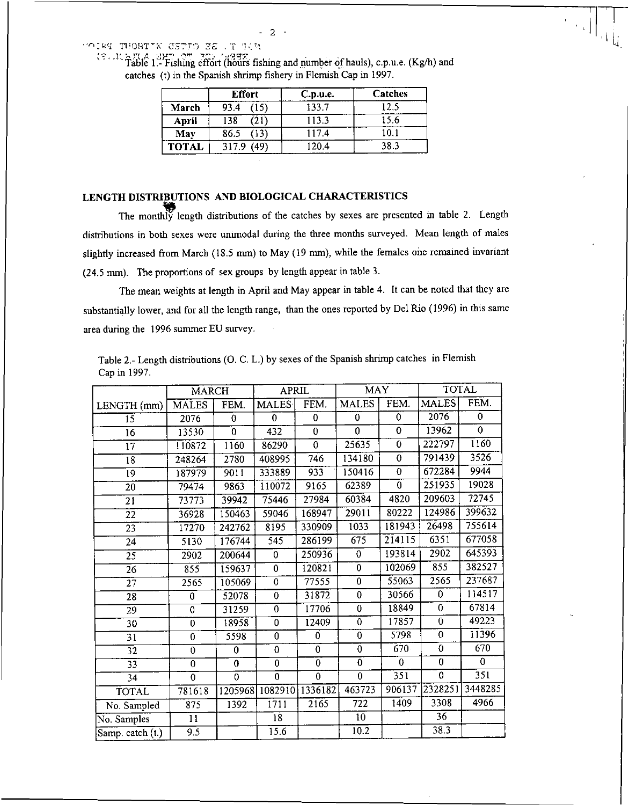"OIRT TUOHT"N CETIO ES . I !

| Table 1. Fishing effort (hours fishing and number of hauls), c.p.u.e. (Kg/h) and |  |
|----------------------------------------------------------------------------------|--|
| catches (t) in the Spanish shrimp fishery in Flemish Cap in 1997.                |  |

|              | <b>Effort</b> | C.p.u.e. | Catches |  |
|--------------|---------------|----------|---------|--|
| March        | (15)<br>93.4  | 133.7    | 12.5    |  |
| <b>April</b> | 138<br>(21)   | 113.3    | 15.6    |  |
| May          | 86.5<br>(13)  | 117.4    | 10.1    |  |
| <b>TOTAL</b> | (49)<br>317.9 | 120.4    | 38.3    |  |

# LENGTH DISTRIBUTIONS AND BIOLOGICAL CHARACTERISTICS

The monthly length distributions of the catches by sexes are presented in table 2. Length distributions in both sexes were unimodal during the three months surveyed. Mean length of males slightly increased from March (18.5 mm) to May (19 mm), while the females one remained invariant (24.5 mm). The proportions of sex groups by length appear in table 3.

The mean weights at length in April and May appear in table 4. It can be noted that they are substantially lower, and for all the length range, than the ones reported by Del Rio (1996) in this same area during the 1996 summer EU survey.

Table 2.- Length distributions (0. C. L.) by sexes of the Spanish shrimp catches in Flemish Cap in 1997.

|                  | <b>MARCH</b>     |                  | <b>APRIL</b>     |                | <b>MAY</b>       |                | <b>TOTAL</b>   |                |
|------------------|------------------|------------------|------------------|----------------|------------------|----------------|----------------|----------------|
| LENGTH (mm)      | <b>MALES</b>     | FEM.             | <b>MALES</b>     | FEM.           | <b>MALES</b>     | FEM.           | <b>MALES</b>   | FEM.           |
| 15               | 2076             | $\bf{0}$         | $\Omega$         | 0              | $\bf{0}$         | 0              | 2076           | 0              |
| 16               | 13530            | $\overline{0}$   | 432              | $\overline{0}$ | 0                | $\mathbf 0$    | 13962          | $\overline{0}$ |
| 17               | 110872           | 1160             | 86290            | $\overline{0}$ | 25635            | $\overline{0}$ | 222797         | 1160           |
| 18               | 248264           | 2780             | 408995           | 746            | 134180           | 0              | 791439         | 3526           |
| 19               | 187979           | 9011             | 333889           | 933            | 150416           | $\theta$       | 672284         | 9944           |
| $\overline{20}$  | 79474            | 9863             | 110072           | 9165           | 62389            | $\overline{0}$ | 251935         | 19028          |
| 21               | 73773            | 39942            | 75446            | 27984          | 60384            | 4820           | 209603         | 72745          |
| $\overline{22}$  | 36928            | 150463           | 59046            | 168947         | 29011            | 80222          | 124986         | 399632         |
| $\overline{23}$  | 17270            | 242762           | 8195             | 330909         | 1033             | 181943         | 26498          | 755614         |
| $\overline{24}$  | 5130             | 176744           | $\overline{545}$ | 286199         | $\overline{675}$ | 214115         | 6351           | 677058         |
| $\overline{25}$  | 2902             | 200644           | 0                | 250936         | $\mathbf 0$      | 193814         | 2902           | 645393         |
| $\overline{26}$  | 855              | 159637           | $\overline{0}$   | 120821         | $\overline{0}$   | 102069         | 855            | 382527         |
| $\overline{27}$  | 2565             | 105069           | $\overline{0}$   | 77555          | $\overline{0}$   | 55063          | 2565           | 237687         |
| 28               | 0                | 52078            | $\bf{0}$         | 31872          | $\mathbf 0$      | 30566          | 0              | 114517         |
| 29               | $\mathbf 0$      | 31259            | $\overline{0}$   | 17706          | $\overline{0}$   | 18849          | $\overline{0}$ | 67814          |
| $\overline{30}$  | $\overline{0}$   | 18958            | $\overline{0}$   | 12409          | $\overline{0}$   | 17857          | $\mathbf 0$    | 49223          |
| $\overline{31}$  | $\overline{0}$   | 5598             | $\overline{0}$   | $\overline{0}$ | $\overline{0}$   | 5798           | $\mathbf{0}$   | 11396          |
| $\overline{32}$  | $\overline{0}$   | 0                | $\mathbf 0$      | $\overline{0}$ | $\overline{0}$   | 670            | $\overline{0}$ | 670            |
| $\overline{33}$  | $\bf{0}$         | $\boldsymbol{0}$ | $\bf{0}$         | $\overline{0}$ | $\overline{0}$   | $\bf{0}$       | $\overline{0}$ | $\mathbf{0}$   |
| 34               | $\overline{0}$   | $\overline{0}$   | $\overline{0}$   | $\overline{0}$ | $\overline{0}$   | 351            | $\overline{0}$ | 351            |
| <b>TOTAL</b>     | 781618           | 1205968          | 1082910          | 1336182        | 463723           | 906137         | 2328251        | 3448285        |
| No. Sampled      | 875              | 1392             | 1711             | 2165           | 722              | 1409           | 3308           | 4966           |
| No. Samples      | $\overline{11}$  |                  | 18               |                | 10               |                | 36             |                |
| Samp. catch (t.) | $\overline{9.5}$ |                  | 15.6             |                | 10.2             |                | 38.3           |                |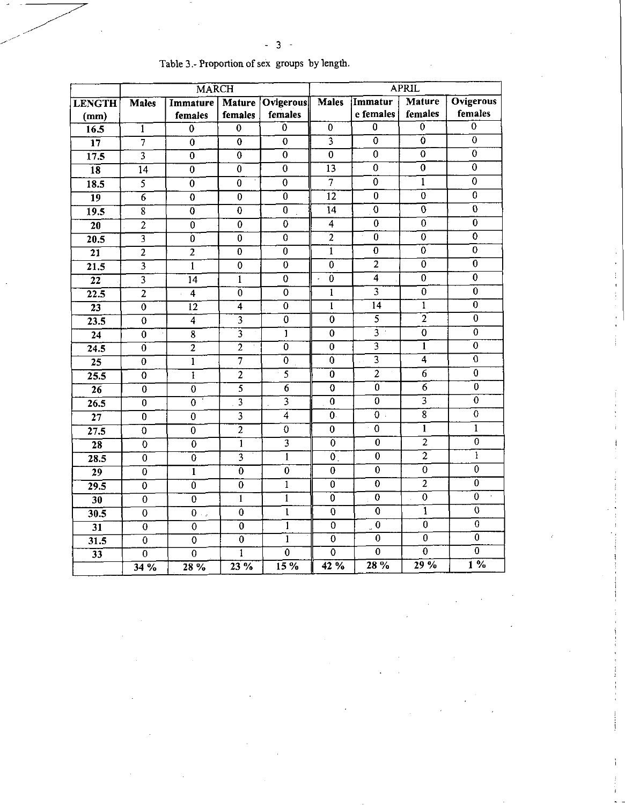|                   |                           | <b>MARCH</b>                         |                              |                           | <b>APRIL</b>              |                           |                    |                  |
|-------------------|---------------------------|--------------------------------------|------------------------------|---------------------------|---------------------------|---------------------------|--------------------|------------------|
| <b>LENGTH</b>     | <b>Males</b>              | <b>Immature</b>                      |                              | Mature   Ovigerous        | <b>Males</b>              | Immatur                   | Mature             | <b>Ovigerous</b> |
| (mm)              |                           | females                              | females                      | females                   |                           | e females                 | females            | females          |
| $\overline{16.5}$ | ī                         | $\overline{0}$                       | $\overline{0}$               | $\overline{0}$            | $\overline{0}$            | $\overline{0}$            | $\overline{0}$     | $\mathbf 0$      |
| $\overline{17}$   | 7                         | $\overline{0}$                       | $\overline{0}$               | $\overline{0}$            | $\overline{\overline{3}}$ | $\bf{0}$                  | $\overline{0}$     | $\overline{0}$   |
| 17.5              | $\overline{\overline{3}}$ | $\overline{0}$                       | $\overline{0}$               | $\overline{0}$            | $\overline{0}$            | 0                         | $\overline{0}$     | $\overline{0}$   |
| $\overline{18}$   | $\overline{14}$           | $\overline{0}$                       | $\overline{0}$               | $\overline{0}$            | 13                        | $\overline{0}$            | $\overline{0}$     | $\overline{0}$   |
| 18.5              | $\overline{5}$            | $\overline{0}$                       | $\overline{0}$               | $\overline{0}$            | $\overline{7}$            | $\pmb{0}$                 | $\overline{1}$     | $\mathbf 0$      |
| $\overline{19}$   | $\overline{6}$            | $\overline{0}$                       | $\overline{0}$               | $\overline{0}$            | $\overline{12}$           | $\overline{0}$            | $\overline{0}$     | $\overline{0}$   |
| $\overline{19.5}$ | $\overline{\bf 8}$        | $\overline{0}$                       | $\overline{0}$               | $\bf{0}$                  | 14                        | 0                         | $\overline{0}$     | $\overline{0}$   |
| $\overline{20}$   | $\overline{2}$            | $\overline{0}$                       | $\bf{0}$                     | $\overline{0}$            | $\overline{4}$            | $\overline{0}$            | $\overline{0}$     | $\overline{0}$   |
| 20.5              | $\overline{\mathbf{3}}$   | $\overline{0}$                       | $\overline{0}$               | $\overline{0}$            | $\overline{2}$            | $\overline{0}$            | $\overline{0}$     | $\overline{0}$   |
| $\overline{21}$   | $\overline{2}$            | $\overline{2}$                       | $\overline{0}$               | $\overline{0}$            | $\overline{1}$            | $\overline{0}$            | $\overline{0}$     | $\overline{0}$   |
| $\overline{21.5}$ | $\overline{\mathbf{3}}$   | $\overline{1}$                       | $\overline{0}$               | $\overline{0}$            | $\bf{0}$                  | $\overline{2}$            | $\dot{0}$          | $\overline{0}$   |
| $\overline{22}$   | $\overline{\mathbf{3}}$   | $\overline{14}$                      | $\overline{1}$               | $\overline{0}$            | $\overline{0}$            | $\overline{4}$            | $\overline{0}$     | $\bf{0}$         |
| $\overline{22.5}$ | $\overline{2}$            | $\overline{4}$                       | $\overline{0}$               | $\overline{0}$            | $\overline{1}$            | $\overline{3}$            | $\overline{0}$     | $\overline{0}$   |
| $\overline{23}$   | $\overline{0}$            | $\overline{12}$                      | $\overline{4}$               | $\overline{0}$            | $\overline{1}$            | 14                        | $\overline{1}$     | $\overline{0}$   |
| 23.5              | $\theta$                  | $\overline{4}$                       | $\overline{3}$               | $\overline{0}$            | $\mathbf 0$               | $\overline{5}$            | $\overline{2}$     | $\overline{0}$   |
| $\overline{24}$   | $\overline{0}$            | $\overline{\overline{\overline{8}}}$ | $\overline{\overline{3}}$    | $\overline{1}$            | $\overline{0}$            | $\overline{3}$            | $\overline{0}$     | $\overline{0}$   |
| $\overline{24.5}$ | $\overline{0}$            | $\overline{2}$                       | $\overline{2}$<br>$\epsilon$ | $\overline{0}$            | $\overline{0}$            | $\overline{\overline{3}}$ | $\overline{1}$     | $\overline{0}$   |
| $\overline{25}$   | $\overline{0}$            | $\overline{1}$                       | 7                            | $\overline{0}$            | $\overline{0}$            | $\overline{\overline{3}}$ | $\overline{\bf 4}$ | $\overline{0}$   |
| 25.5              | $\mathbf 0$               | 1                                    | $\overline{2}$               | $\overline{5}$            | $\bf{0}$                  | $\overline{2}$            | $\overline{6}$     | $\overline{0}$   |
| 26                | $\overline{0}$            | $\overline{0}$                       | $\overline{5}$               | $\overline{6}$            | $\overline{0}$            | $\overline{0}$            | $\overline{6}$     | $\overline{0}$   |
| 26.5              | $\overline{0}$            | $\overline{0}$                       | $\overline{3}$               | $\overline{\overline{3}}$ | $\overline{0}$            | $\overline{0}$            | $\overline{3}$     | $\overline{0}$   |
| $\overline{27}$   | $\overline{0}$            | $\overline{0}$                       | $\overline{\mathbf{3}}$      | $\overline{4}$            | $\overline{0}$            | $0$ .                     |                    | $\overline{0}$   |
| 27.5              | $\overline{0}$            | $\mathbf 0$                          | $\overline{2}$               | $\overline{0}$            | $\overline{0}$            | $\overline{0}$            | $\overline{1}$     | $\mathbf{1}$     |
| $\overline{28}$   | $\overline{0}$            | $\overline{0}$                       | $\overline{1}$               |                           | $\overline{\mathfrak{o}}$ | $\overline{0}$            | $\overline{2}$     | $\overline{0}$   |
| 28.5              | $\overline{0}$            | $\overline{0}$                       | $\overline{\overline{3}}$    | $\overline{1}$            | $\overline{0}$ .          | $\overline{0}$            | $\overline{2}$     | ï                |
| $\overline{29}$   | $\overline{0}$            | $\overline{1}$                       | $\overline{0}$               | $\overline{0}$            | $\bf{0}$                  | $\overline{0}$            | $\overline{0}$     | $\overline{0}$   |
| 29.5              | $\bf{0}$                  | $\overline{0}$                       | $\bf{0}$                     | $\mathbf{1}$              | $\overline{0}$            | $\overline{0}$            | $\overline{2}$     | $\overline{0}$   |
| 30                | $\overline{0}$            | $\overline{0}$                       | $\overline{1}$               | $\overline{1}$            | $\overline{0}$            | $\overline{0}$            | $\overline{0}$     | $\overline{0}$   |
| 30.5              | $\overline{0}$            | $\bar{0}$ .                          | $\overline{0}$               | $\mathbf{1}$              | $\overline{0}$            | $\pmb{0}$                 | $\mathbf{1}$       | $\mathbf 0$      |
| 31                | $\overline{0}$            | $\overline{0}$                       | $\overline{0}$               | $\overline{1}$            | $\overline{0}$            | $\pmb{0}$                 | $\overline{0}$     | 0                |
| 31.5              | $\bf{0}$                  | 0                                    | $\overline{0}$               | $\overline{1}$            | $\overline{0}$            | $\overline{0}$            | $\overline{0}$     | $\overline{0}$   |
| $\overline{33}$   | $\overline{0}$            | $\overline{0}$                       | $\overline{1}$               | $\overline{0}$            | $\overline{0}$            | $\overline{0}$            | $\overline{0}$     | 0                |
|                   | 34%                       | 28%                                  | 23%                          | 15%                       | 42%                       | 28 %                      | $\frac{1}{29}$ %   | $\overline{1}$ % |

## Table 3.- Proportion of sex groups by length.